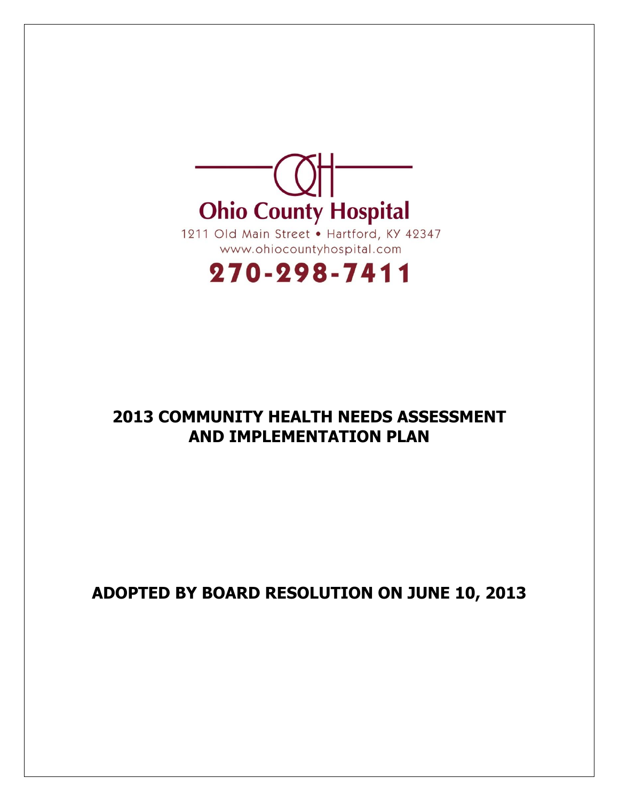

# 270-298-7411

## **2013 COMMUNITY HEALTH NEEDS ASSESSMENT AND IMPLEMENTATION PLAN**

# **ADOPTED BY BOARD RESOLUTION ON JUNE 10, 2013**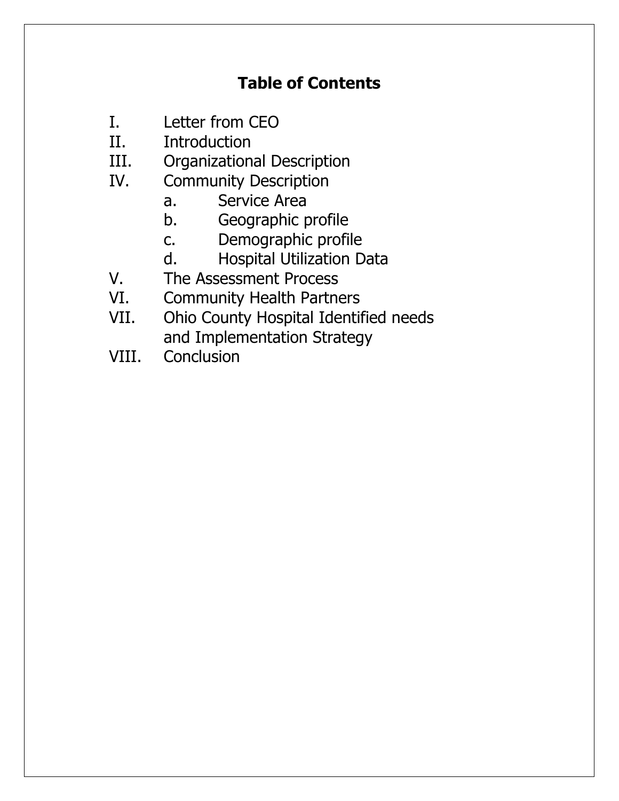# **Table of Contents**

- I. Letter from CEO
- II. Introduction
- III. Organizational Description
- IV. Community Description
	- a. Service Area
	- b. Geographic profile
	- c. Demographic profile
	- d. Hospital Utilization Data
- V. The Assessment Process
- VI. Community Health Partners
- VII. Ohio County Hospital Identified needs and Implementation Strategy
- VIII. Conclusion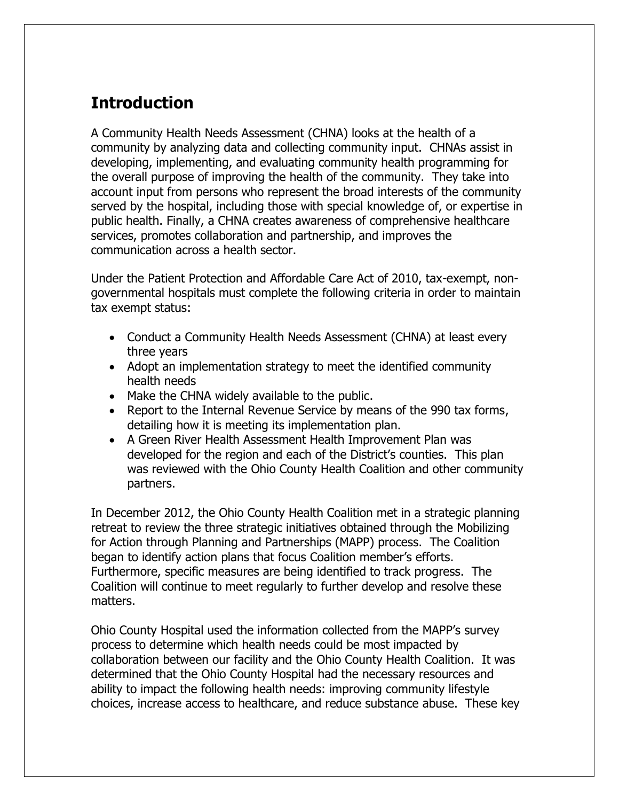# **Introduction**

A Community Health Needs Assessment (CHNA) looks at the health of a community by analyzing data and collecting community input. CHNAs assist in developing, implementing, and evaluating community health programming for the overall purpose of improving the health of the community. They take into account input from persons who represent the broad interests of the community served by the hospital, including those with special knowledge of, or expertise in public health. Finally, a CHNA creates awareness of comprehensive healthcare services, promotes collaboration and partnership, and improves the communication across a health sector.

Under the Patient Protection and Affordable Care Act of 2010, tax-exempt, nongovernmental hospitals must complete the following criteria in order to maintain tax exempt status:

- Conduct a Community Health Needs Assessment (CHNA) at least every three years
- Adopt an implementation strategy to meet the identified community health needs
- Make the CHNA widely available to the public.
- Report to the Internal Revenue Service by means of the 990 tax forms, detailing how it is meeting its implementation plan.
- A Green River Health Assessment Health Improvement Plan was developed for the region and each of the District's counties. This plan was reviewed with the Ohio County Health Coalition and other community partners.

In December 2012, the Ohio County Health Coalition met in a strategic planning retreat to review the three strategic initiatives obtained through the Mobilizing for Action through Planning and Partnerships (MAPP) process. The Coalition began to identify action plans that focus Coalition member's efforts. Furthermore, specific measures are being identified to track progress. The Coalition will continue to meet regularly to further develop and resolve these matters.

Ohio County Hospital used the information collected from the MAPP's survey process to determine which health needs could be most impacted by collaboration between our facility and the Ohio County Health Coalition. It was determined that the Ohio County Hospital had the necessary resources and ability to impact the following health needs: improving community lifestyle choices, increase access to healthcare, and reduce substance abuse. These key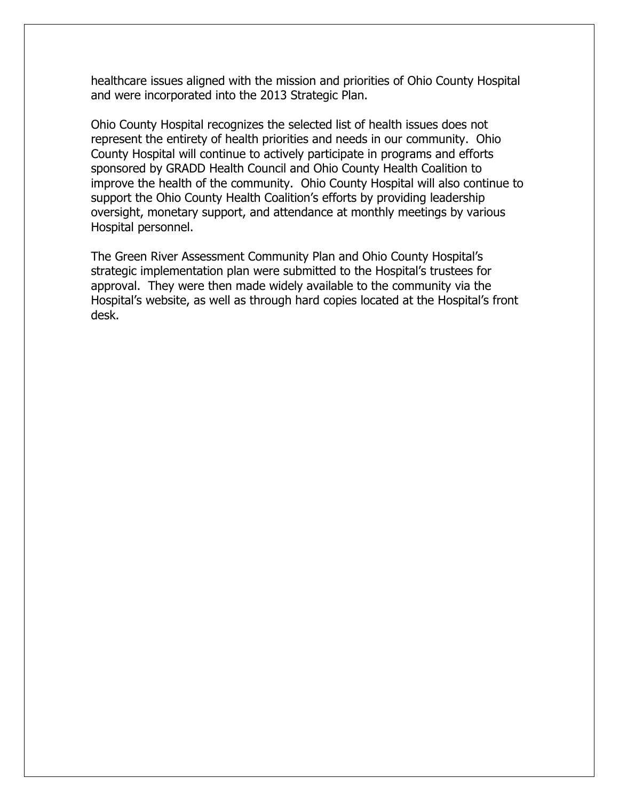healthcare issues aligned with the mission and priorities of Ohio County Hospital and were incorporated into the 2013 Strategic Plan.

Ohio County Hospital recognizes the selected list of health issues does not represent the entirety of health priorities and needs in our community. Ohio County Hospital will continue to actively participate in programs and efforts sponsored by GRADD Health Council and Ohio County Health Coalition to improve the health of the community. Ohio County Hospital will also continue to support the Ohio County Health Coalition's efforts by providing leadership oversight, monetary support, and attendance at monthly meetings by various Hospital personnel.

The Green River Assessment Community Plan and Ohio County Hospital's strategic implementation plan were submitted to the Hospital's trustees for approval. They were then made widely available to the community via the Hospital's website, as well as through hard copies located at the Hospital's front desk.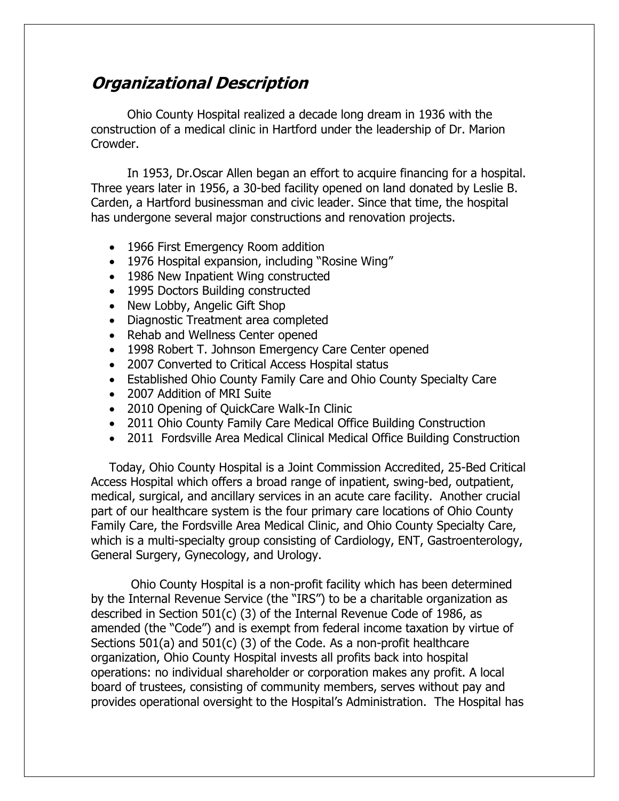### **Organizational Description**

Ohio County Hospital realized a decade long dream in 1936 with the construction of a medical clinic in Hartford under the leadership of Dr. Marion Crowder.

In 1953, Dr.Oscar Allen began an effort to acquire financing for a hospital. Three years later in 1956, a 30-bed facility opened on land donated by Leslie B. Carden, a Hartford businessman and civic leader. Since that time, the hospital has undergone several major constructions and renovation projects.

- 1966 First Emergency Room addition
- 1976 Hospital expansion, including "Rosine Wing"
- 1986 New Inpatient Wing constructed
- 1995 Doctors Building constructed
- New Lobby, Angelic Gift Shop
- Diagnostic Treatment area completed
- Rehab and Wellness Center opened
- 1998 Robert T. Johnson Emergency Care Center opened
- 2007 Converted to Critical Access Hospital status
- Established Ohio County Family Care and Ohio County Specialty Care
- 2007 Addition of MRI Suite
- 2010 Opening of QuickCare Walk-In Clinic
- 2011 Ohio County Family Care Medical Office Building Construction
- 2011 Fordsville Area Medical Clinical Medical Office Building Construction

Today, Ohio County Hospital is a Joint Commission Accredited, 25-Bed Critical Access Hospital which offers a broad range of inpatient, swing-bed, outpatient, medical, surgical, and ancillary services in an acute care facility. Another crucial part of our healthcare system is the four primary care locations of Ohio County Family Care, the Fordsville Area Medical Clinic, and Ohio County Specialty Care, which is a multi-specialty group consisting of Cardiology, ENT, Gastroenterology, General Surgery, Gynecology, and Urology.

Ohio County Hospital is a non-profit facility which has been determined by the Internal Revenue Service (the "IRS") to be a charitable organization as described in Section 501(c) (3) of the Internal Revenue Code of 1986, as amended (the "Code") and is exempt from federal income taxation by virtue of Sections 501(a) and 501(c) (3) of the Code. As a non-profit healthcare organization, Ohio County Hospital invests all profits back into hospital operations: no individual shareholder or corporation makes any profit. A local board of trustees, consisting of community members, serves without pay and provides operational oversight to the Hospital's Administration. The Hospital has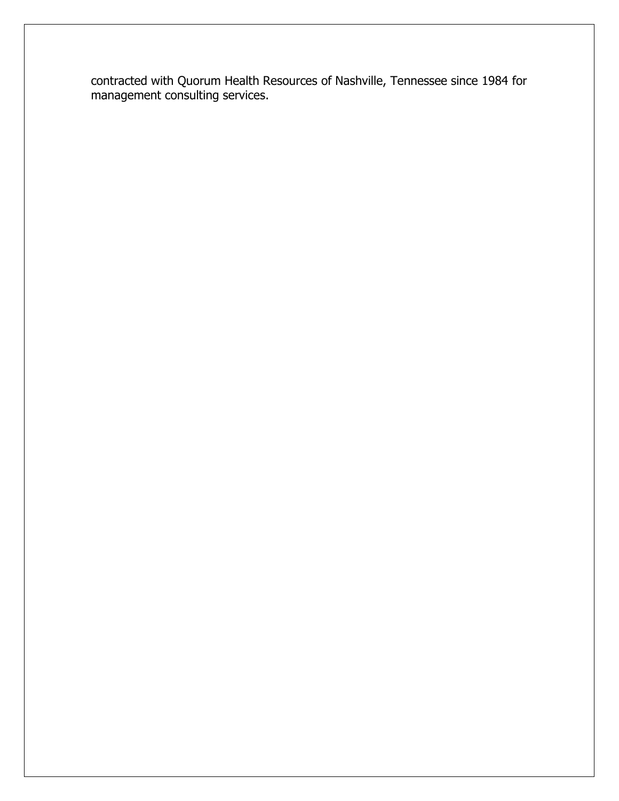contracted with Quorum Health Resources of Nashville, Tennessee since 1984 for management consulting services.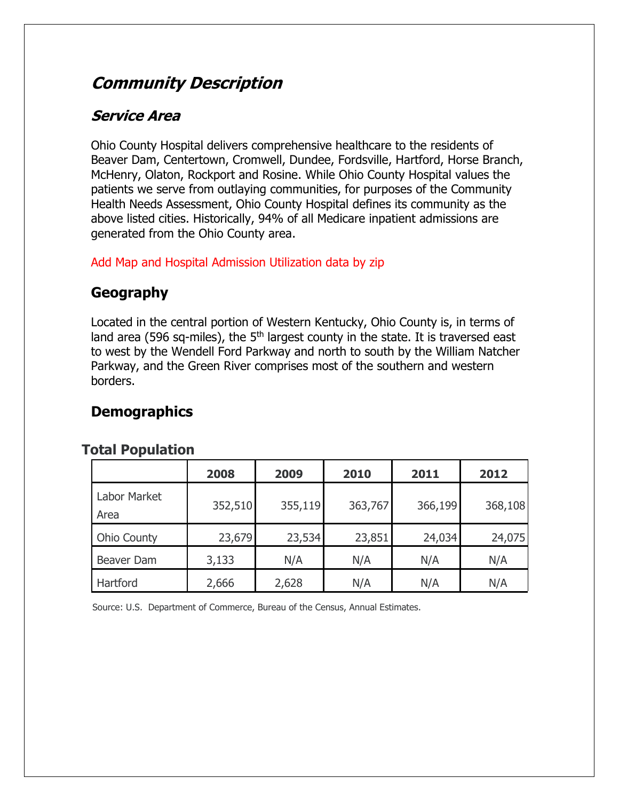# **Community Description**

### **Service Area**

Ohio County Hospital delivers comprehensive healthcare to the residents of Beaver Dam, Centertown, Cromwell, Dundee, Fordsville, Hartford, Horse Branch, McHenry, Olaton, Rockport and Rosine. While Ohio County Hospital values the patients we serve from outlaying communities, for purposes of the Community Health Needs Assessment, Ohio County Hospital defines its community as the above listed cities. Historically, 94% of all Medicare inpatient admissions are generated from the Ohio County area.

Add Map and Hospital Admission Utilization data by zip

### **Geography**

Located in the central portion of Western Kentucky, Ohio County is, in terms of land area (596 sq-miles), the  $5<sup>th</sup>$  largest county in the state. It is traversed east to west by the Wendell Ford Parkway and north to south by the William Natcher Parkway, and the Green River comprises most of the southern and western borders.

### **Demographics**

### **Total Population**

|                      | 2008    | 2009    | 2010    | 2011    | 2012    |
|----------------------|---------|---------|---------|---------|---------|
| Labor Market<br>Area | 352,510 | 355,119 | 363,767 | 366,199 | 368,108 |
| Ohio County          | 23,679  | 23,534  | 23,851  | 24,034  | 24,075  |
| Beaver Dam           | 3,133   | N/A     | N/A     | N/A     | N/A     |
| Hartford             | 2,666   | 2,628   | N/A     | N/A     | N/A     |

Source: U.S. Department of Commerce, Bureau of the Census, Annual Estimates.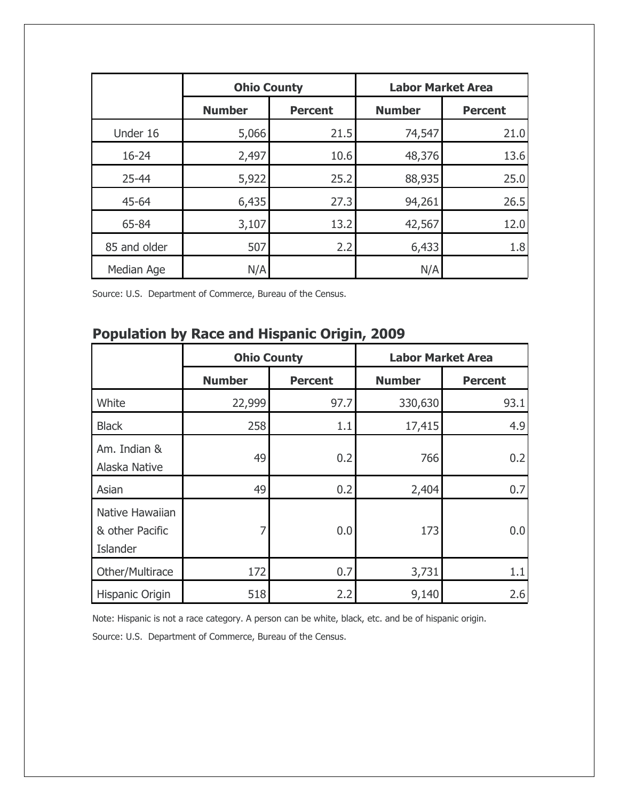|              | <b>Ohio County</b> |                | <b>Labor Market Area</b> |                |
|--------------|--------------------|----------------|--------------------------|----------------|
|              | <b>Number</b>      | <b>Percent</b> | <b>Number</b>            | <b>Percent</b> |
| Under 16     | 5,066              | 21.5           | 74,547                   | 21.0           |
| $16 - 24$    | 2,497              | 10.6           | 48,376                   | 13.6           |
| 25-44        | 5,922              | 25.2           | 88,935                   | 25.0           |
| 45-64        | 6,435              | 27.3           | 94,261                   | 26.5           |
| 65-84        | 3,107              | 13.2           | 42,567                   | 12.0           |
| 85 and older | 507                | 2.2            | 6,433                    | 1.8            |
| Median Age   | N/A                |                | N/A                      |                |

Source: U.S. Department of Commerce, Bureau of the Census.

# **Population by Race and Hispanic Origin, 2009**

|                                                | <b>Ohio County</b> |                | <b>Labor Market Area</b> |                |  |
|------------------------------------------------|--------------------|----------------|--------------------------|----------------|--|
|                                                | <b>Number</b>      | <b>Percent</b> | <b>Number</b>            | <b>Percent</b> |  |
| White                                          | 22,999             | 97.7           | 330,630                  | 93.1           |  |
| <b>Black</b>                                   | 258                | 1.1            | 17,415                   | 4.9            |  |
| Am. Indian &<br>Alaska Native                  | 49                 | 0.2            | 766                      | 0.2            |  |
| Asian                                          | 49                 | 0.2            | 2,404                    | 0.7            |  |
| Native Hawaiian<br>& other Pacific<br>Islander | 7                  | 0.0            | 173                      | 0.0            |  |
| Other/Multirace                                | 172                | 0.7            | 3,731                    | 1.1            |  |
| Hispanic Origin                                | 518                | 2.2            | 9,140                    | 2.6            |  |

Note: Hispanic is not a race category. A person can be white, black, etc. and be of hispanic origin.

Source: U.S. Department of Commerce, Bureau of the Census.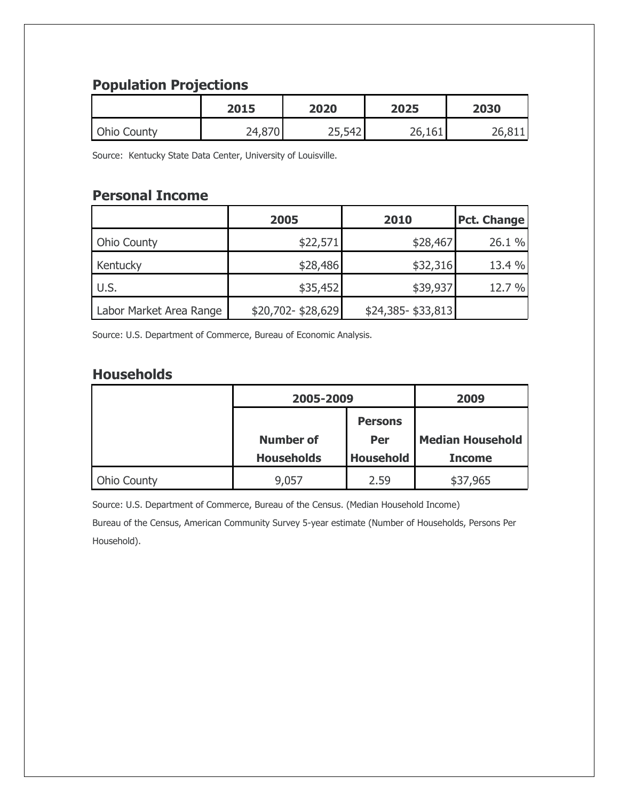### **Population Projections**

|                    | 2015   | 2020   | 2025   | 2030 |
|--------------------|--------|--------|--------|------|
| <b>Ohio County</b> | 24,870 | 25,542 | 26,161 | ገሬ   |

Source: Kentucky State Data Center, University of Louisville.

### **Personal Income**

|                         | 2005              | 2010              | <b>Pct. Change</b> |
|-------------------------|-------------------|-------------------|--------------------|
| <b>Ohio County</b>      | \$22,571          | \$28,467          | 26.1 %             |
| Kentucky                | \$28,486          | \$32,316          | 13.4 %             |
| U.S.                    | \$35,452          | \$39,937          | 12.7 %             |
| Labor Market Area Range | \$20,702-\$28,629 | \$24,385-\$33,813 |                    |

Source: U.S. Department of Commerce, Bureau of Economic Analysis.

### **Households**

|                    | 2005-2009         |                  | 2009                    |  |
|--------------------|-------------------|------------------|-------------------------|--|
|                    |                   | <b>Persons</b>   |                         |  |
|                    | <b>Number of</b>  | Per              | <b>Median Household</b> |  |
|                    | <b>Households</b> | <b>Household</b> | <b>Income</b>           |  |
| <b>Ohio County</b> | 9,057             | 2.59             | \$37,965                |  |

Source: U.S. Department of Commerce, Bureau of the Census. (Median Household Income)

Bureau of the Census, American Community Survey 5-year estimate (Number of Households, Persons Per Household).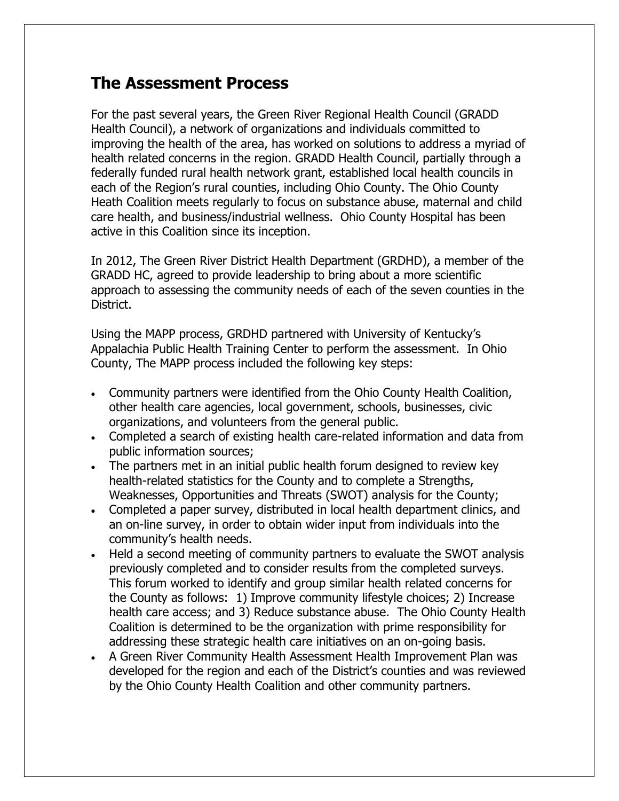### **The Assessment Process**

For the past several years, the Green River Regional Health Council (GRADD Health Council), a network of organizations and individuals committed to improving the health of the area, has worked on solutions to address a myriad of health related concerns in the region. GRADD Health Council, partially through a federally funded rural health network grant, established local health councils in each of the Region's rural counties, including Ohio County. The Ohio County Heath Coalition meets regularly to focus on substance abuse, maternal and child care health, and business/industrial wellness. Ohio County Hospital has been active in this Coalition since its inception.

In 2012, The Green River District Health Department (GRDHD), a member of the GRADD HC, agreed to provide leadership to bring about a more scientific approach to assessing the community needs of each of the seven counties in the District.

Using the MAPP process, GRDHD partnered with University of Kentucky's Appalachia Public Health Training Center to perform the assessment. In Ohio County, The MAPP process included the following key steps:

- Community partners were identified from the Ohio County Health Coalition, other health care agencies, local government, schools, businesses, civic organizations, and volunteers from the general public.
- Completed a search of existing health care-related information and data from public information sources;
- The partners met in an initial public health forum designed to review key health-related statistics for the County and to complete a Strengths, Weaknesses, Opportunities and Threats (SWOT) analysis for the County;
- Completed a paper survey, distributed in local health department clinics, and an on-line survey, in order to obtain wider input from individuals into the community's health needs.
- Held a second meeting of community partners to evaluate the SWOT analysis previously completed and to consider results from the completed surveys. This forum worked to identify and group similar health related concerns for the County as follows: 1) Improve community lifestyle choices; 2) Increase health care access; and 3) Reduce substance abuse. The Ohio County Health Coalition is determined to be the organization with prime responsibility for addressing these strategic health care initiatives on an on-going basis.
- A Green River Community Health Assessment Health Improvement Plan was developed for the region and each of the District's counties and was reviewed by the Ohio County Health Coalition and other community partners.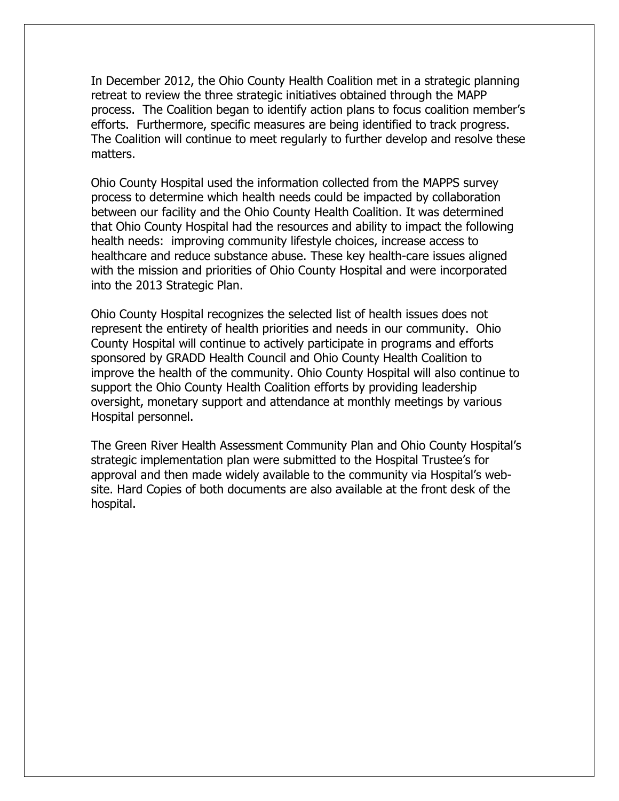In December 2012, the Ohio County Health Coalition met in a strategic planning retreat to review the three strategic initiatives obtained through the MAPP process. The Coalition began to identify action plans to focus coalition member's efforts. Furthermore, specific measures are being identified to track progress. The Coalition will continue to meet regularly to further develop and resolve these matters.

Ohio County Hospital used the information collected from the MAPPS survey process to determine which health needs could be impacted by collaboration between our facility and the Ohio County Health Coalition. It was determined that Ohio County Hospital had the resources and ability to impact the following health needs: improving community lifestyle choices, increase access to healthcare and reduce substance abuse. These key health-care issues aligned with the mission and priorities of Ohio County Hospital and were incorporated into the 2013 Strategic Plan.

Ohio County Hospital recognizes the selected list of health issues does not represent the entirety of health priorities and needs in our community. Ohio County Hospital will continue to actively participate in programs and efforts sponsored by GRADD Health Council and Ohio County Health Coalition to improve the health of the community. Ohio County Hospital will also continue to support the Ohio County Health Coalition efforts by providing leadership oversight, monetary support and attendance at monthly meetings by various Hospital personnel.

The Green River Health Assessment Community Plan and Ohio County Hospital's strategic implementation plan were submitted to the Hospital Trustee's for approval and then made widely available to the community via Hospital's website. Hard Copies of both documents are also available at the front desk of the hospital.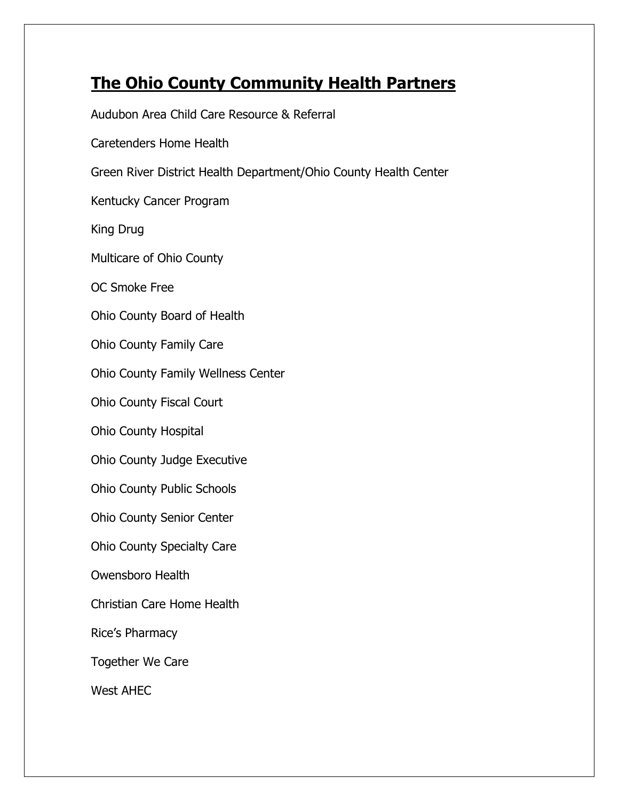# **The Ohio County Community Health Partners**

Audubon Area Child Care Resource & Referral Caretenders Home Health Green River District Health Department/Ohio County Health Center Kentucky Cancer Program King Drug Multicare of Ohio County OC Smoke Free Ohio County Board of Health Ohio County Family Care Ohio County Family Wellness Center Ohio County Fiscal Court Ohio County Hospital Ohio County Judge Executive Ohio County Public Schools Ohio County Senior Center Ohio County Specialty Care Owensboro Health Christian Care Home Health Rice's Pharmacy Together We Care West AHEC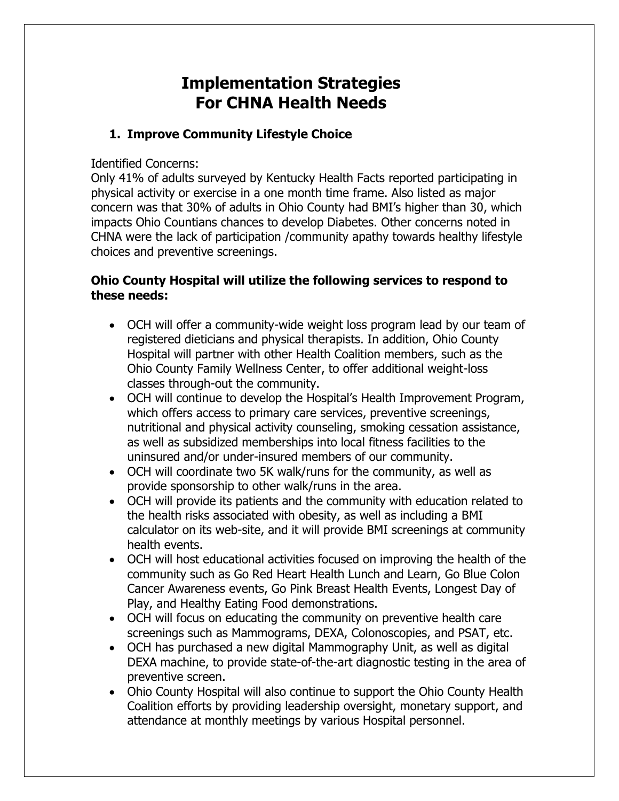# **Implementation Strategies For CHNA Health Needs**

#### **1. Improve Community Lifestyle Choice**

#### Identified Concerns:

Only 41% of adults surveyed by Kentucky Health Facts reported participating in physical activity or exercise in a one month time frame. Also listed as major concern was that 30% of adults in Ohio County had BMI's higher than 30, which impacts Ohio Countians chances to develop Diabetes. Other concerns noted in CHNA were the lack of participation /community apathy towards healthy lifestyle choices and preventive screenings.

#### **Ohio County Hospital will utilize the following services to respond to these needs:**

- OCH will offer a community-wide weight loss program lead by our team of registered dieticians and physical therapists. In addition, Ohio County Hospital will partner with other Health Coalition members, such as the Ohio County Family Wellness Center, to offer additional weight-loss classes through-out the community.
- OCH will continue to develop the Hospital's Health Improvement Program, which offers access to primary care services, preventive screenings, nutritional and physical activity counseling, smoking cessation assistance, as well as subsidized memberships into local fitness facilities to the uninsured and/or under-insured members of our community.
- OCH will coordinate two 5K walk/runs for the community, as well as provide sponsorship to other walk/runs in the area.
- OCH will provide its patients and the community with education related to the health risks associated with obesity, as well as including a BMI calculator on its web-site, and it will provide BMI screenings at community health events.
- OCH will host educational activities focused on improving the health of the community such as Go Red Heart Health Lunch and Learn, Go Blue Colon Cancer Awareness events, Go Pink Breast Health Events, Longest Day of Play, and Healthy Eating Food demonstrations.
- OCH will focus on educating the community on preventive health care screenings such as Mammograms, DEXA, Colonoscopies, and PSAT, etc.
- OCH has purchased a new digital Mammography Unit, as well as digital DEXA machine, to provide state-of-the-art diagnostic testing in the area of preventive screen.
- Ohio County Hospital will also continue to support the Ohio County Health Coalition efforts by providing leadership oversight, monetary support, and attendance at monthly meetings by various Hospital personnel.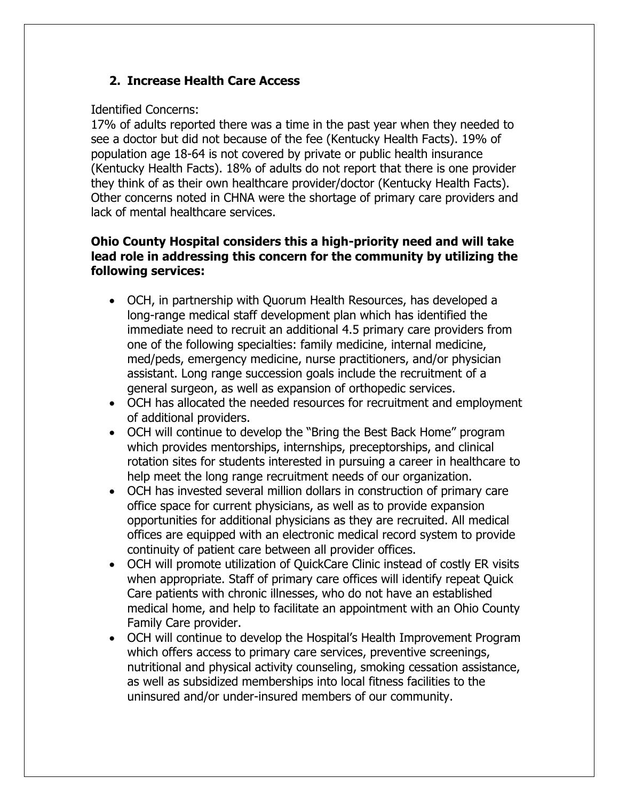#### **2. Increase Health Care Access**

#### Identified Concerns:

17% of adults reported there was a time in the past year when they needed to see a doctor but did not because of the fee (Kentucky Health Facts). 19% of population age 18-64 is not covered by private or public health insurance (Kentucky Health Facts). 18% of adults do not report that there is one provider they think of as their own healthcare provider/doctor (Kentucky Health Facts). Other concerns noted in CHNA were the shortage of primary care providers and lack of mental healthcare services.

#### **Ohio County Hospital considers this a high-priority need and will take lead role in addressing this concern for the community by utilizing the following services:**

- OCH, in partnership with Quorum Health Resources, has developed a long-range medical staff development plan which has identified the immediate need to recruit an additional 4.5 primary care providers from one of the following specialties: family medicine, internal medicine, med/peds, emergency medicine, nurse practitioners, and/or physician assistant. Long range succession goals include the recruitment of a general surgeon, as well as expansion of orthopedic services.
- OCH has allocated the needed resources for recruitment and employment of additional providers.
- OCH will continue to develop the "Bring the Best Back Home" program which provides mentorships, internships, preceptorships, and clinical rotation sites for students interested in pursuing a career in healthcare to help meet the long range recruitment needs of our organization.
- OCH has invested several million dollars in construction of primary care office space for current physicians, as well as to provide expansion opportunities for additional physicians as they are recruited. All medical offices are equipped with an electronic medical record system to provide continuity of patient care between all provider offices.
- OCH will promote utilization of QuickCare Clinic instead of costly ER visits when appropriate. Staff of primary care offices will identify repeat Quick Care patients with chronic illnesses, who do not have an established medical home, and help to facilitate an appointment with an Ohio County Family Care provider.
- OCH will continue to develop the Hospital's Health Improvement Program which offers access to primary care services, preventive screenings, nutritional and physical activity counseling, smoking cessation assistance, as well as subsidized memberships into local fitness facilities to the uninsured and/or under-insured members of our community.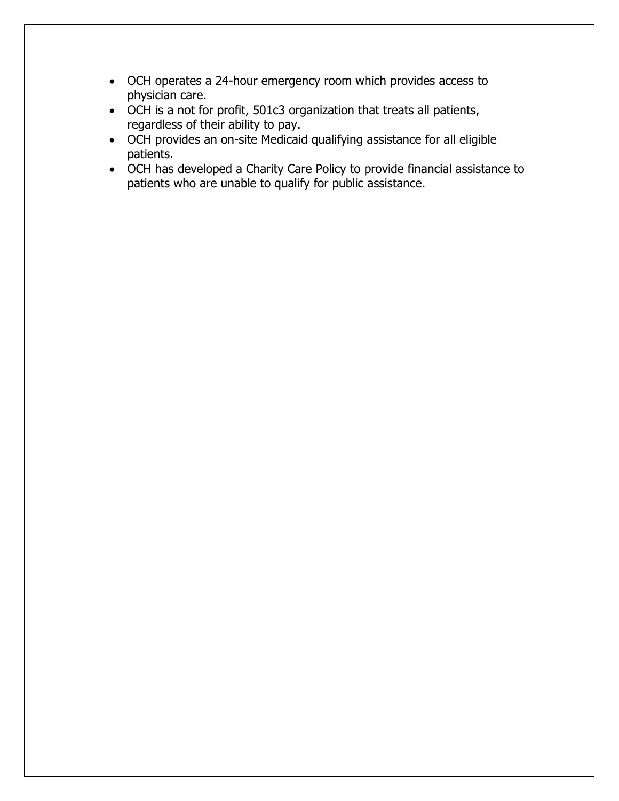- OCH operates a 24-hour emergency room which provides access to physician care.
- OCH is a not for profit, 501c3 organization that treats all patients, regardless of their ability to pay.
- OCH provides an on-site Medicaid qualifying assistance for all eligible patients.
- OCH has developed a Charity Care Policy to provide financial assistance to patients who are unable to qualify for public assistance.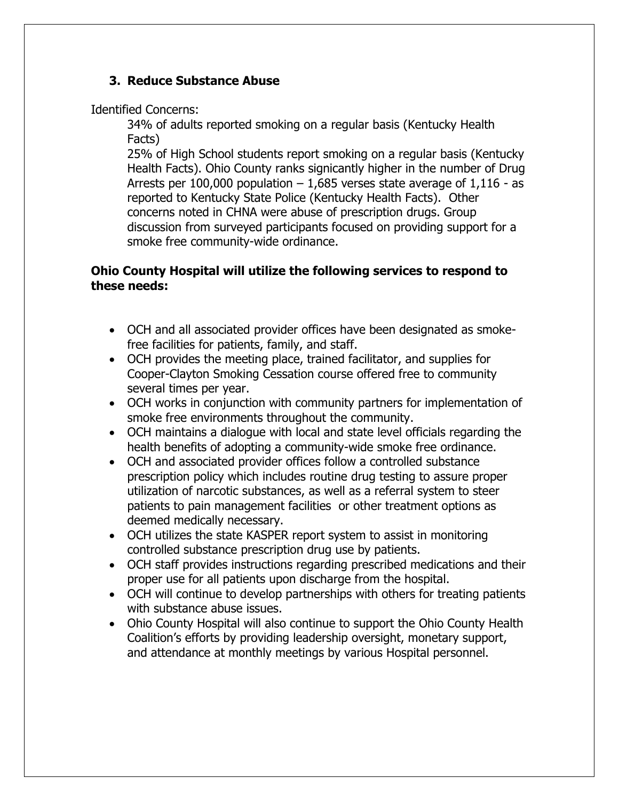#### **3. Reduce Substance Abuse**

Identified Concerns:

34% of adults reported smoking on a regular basis (Kentucky Health Facts)

25% of High School students report smoking on a regular basis (Kentucky Health Facts). Ohio County ranks signicantly higher in the number of Drug Arrests per 100,000 population  $-1,685$  verses state average of  $1,116$  - as reported to Kentucky State Police (Kentucky Health Facts). Other concerns noted in CHNA were abuse of prescription drugs. Group discussion from surveyed participants focused on providing support for a smoke free community-wide ordinance.

#### **Ohio County Hospital will utilize the following services to respond to these needs:**

- OCH and all associated provider offices have been designated as smokefree facilities for patients, family, and staff.
- OCH provides the meeting place, trained facilitator, and supplies for Cooper-Clayton Smoking Cessation course offered free to community several times per year.
- OCH works in conjunction with community partners for implementation of smoke free environments throughout the community.
- OCH maintains a dialogue with local and state level officials regarding the health benefits of adopting a community-wide smoke free ordinance.
- OCH and associated provider offices follow a controlled substance prescription policy which includes routine drug testing to assure proper utilization of narcotic substances, as well as a referral system to steer patients to pain management facilities or other treatment options as deemed medically necessary.
- OCH utilizes the state KASPER report system to assist in monitoring controlled substance prescription drug use by patients.
- OCH staff provides instructions regarding prescribed medications and their proper use for all patients upon discharge from the hospital.
- OCH will continue to develop partnerships with others for treating patients with substance abuse issues.
- Ohio County Hospital will also continue to support the Ohio County Health Coalition's efforts by providing leadership oversight, monetary support, and attendance at monthly meetings by various Hospital personnel.